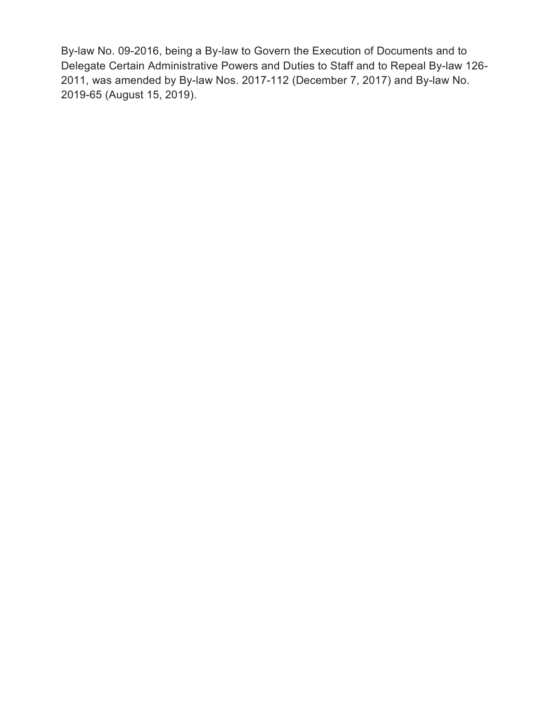By-law No. 09-2016, being a By-law to Govern the Execution of Documents and to Delegate Certain Administrative Powers and Duties to Staff and to Repeal By-law 126- 2011, was amended by By-law Nos. 2017-112 (December 7, 2017) and By-law No. 2019-65 (August 15, 2019).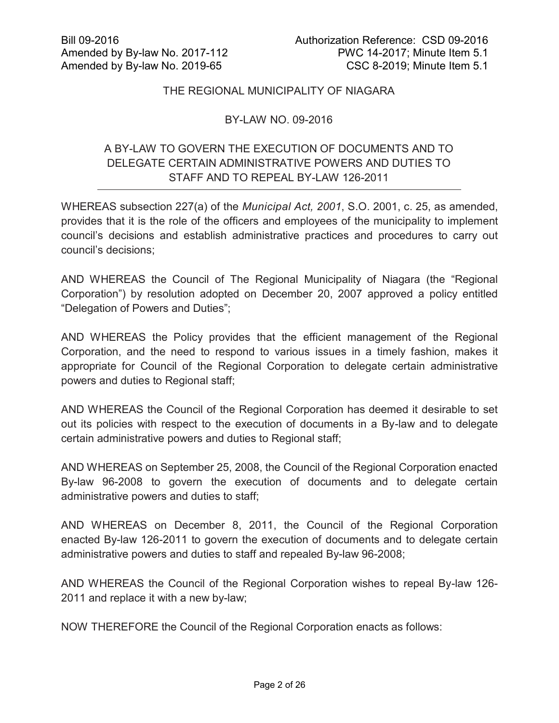## THE REGIONAL MUNICIPALITY OF NIAGARA

## BY-LAW NO. 09-2016

# A BY-LAW TO GOVERN THE EXECUTION OF DOCUMENTS AND TO DELEGATE CERTAIN ADMINISTRATIVE POWERS AND DUTIES TO STAFF AND TO REPEAL BY-LAW 126-2011

WHEREAS subsection 227(a) of the *Municipal Act, 2001*, S.O. 2001, c. 25, as amended, provides that it is the role of the officers and employees of the municipality to implement council's decisions and establish administrative practices and procedures to carry out council's decisions;

AND WHEREAS the Council of The Regional Municipality of Niagara (the "Regional Corporation") by resolution adopted on December 20, 2007 approved a policy entitled "Delegation of Powers and Duties";

AND WHEREAS the Policy provides that the efficient management of the Regional Corporation, and the need to respond to various issues in a timely fashion, makes it appropriate for Council of the Regional Corporation to delegate certain administrative powers and duties to Regional staff;

AND WHEREAS the Council of the Regional Corporation has deemed it desirable to set out its policies with respect to the execution of documents in a By-law and to delegate certain administrative powers and duties to Regional staff;

AND WHEREAS on September 25, 2008, the Council of the Regional Corporation enacted By-law 96-2008 to govern the execution of documents and to delegate certain administrative powers and duties to staff;

AND WHEREAS on December 8, 2011, the Council of the Regional Corporation enacted By-law 126-2011 to govern the execution of documents and to delegate certain administrative powers and duties to staff and repealed By-law 96-2008;

AND WHEREAS the Council of the Regional Corporation wishes to repeal By-law 126- 2011 and replace it with a new by-law;

NOW THEREFORE the Council of the Regional Corporation enacts as follows: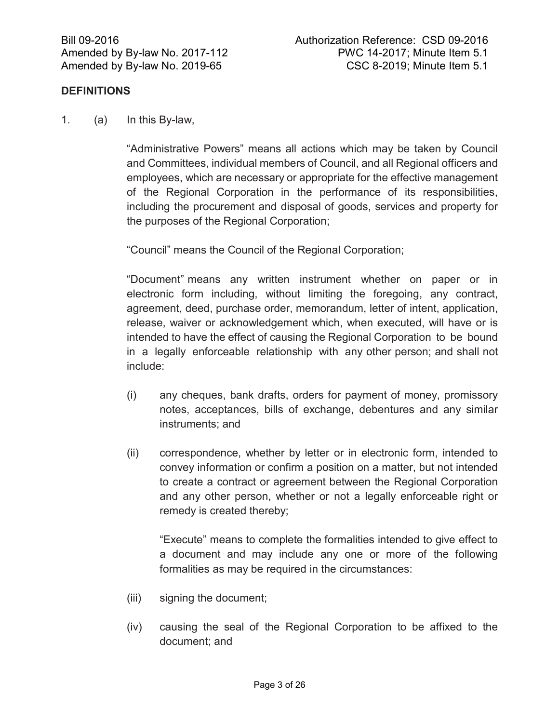## **DEFINITIONS**

1. (a) In this By-law,

"Administrative Powers" means all actions which may be taken by Council and Committees, individual members of Council, and all Regional officers and employees, which are necessary or appropriate for the effective management of the Regional Corporation in the performance of its responsibilities, including the procurement and disposal of goods, services and property for the purposes of the Regional Corporation;

"Council" means the Council of the Regional Corporation;

"Document" means any written instrument whether on paper or in electronic form including, without limiting the foregoing, any contract, agreement, deed, purchase order, memorandum, letter of intent, application, release, waiver or acknowledgement which, when executed, will have or is intended to have the effect of causing the Regional Corporation to be bound in a legally enforceable relationship with any other person; and shall not include:

- (i) any cheques, bank drafts, orders for payment of money, promissory notes, acceptances, bills of exchange, debentures and any similar instruments; and
- (ii) correspondence, whether by letter or in electronic form, intended to convey information or confirm a position on a matter, but not intended to create a contract or agreement between the Regional Corporation and any other person, whether or not a legally enforceable right or remedy is created thereby;

"Execute" means to complete the formalities intended to give effect to a document and may include any one or more of the following formalities as may be required in the circumstances:

- (iii) signing the document;
- (iv) causing the seal of the Regional Corporation to be affixed to the document; and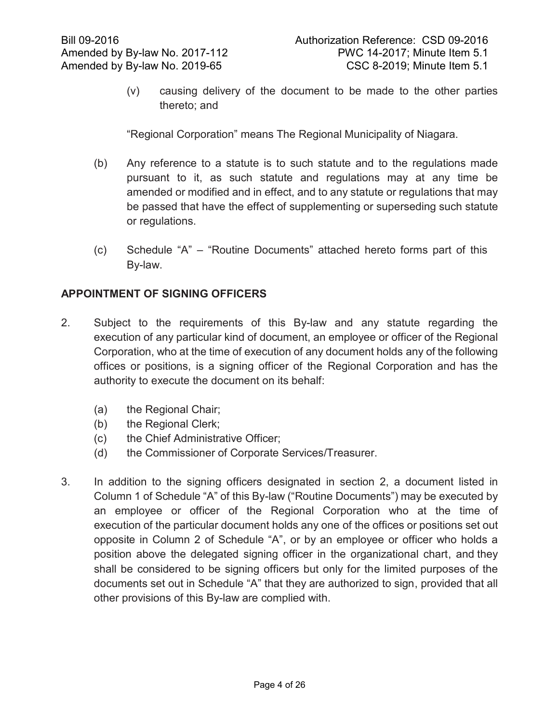(v) causing delivery of the document to be made to the other parties thereto; and

"Regional Corporation" means The Regional Municipality of Niagara.

- (b) Any reference to a statute is to such statute and to the regulations made pursuant to it, as such statute and regulations may at any time be amended or modified and in effect, and to any statute or regulations that may be passed that have the effect of supplementing or superseding such statute or regulations.
- (c) Schedule "A" "Routine Documents" attached hereto forms part of this By-law.

## **APPOINTMENT OF SIGNING OFFICERS**

- 2. Subject to the requirements of this By-law and any statute regarding the execution of any particular kind of document, an employee or officer of the Regional Corporation, who at the time of execution of any document holds any of the following offices or positions, is a signing officer of the Regional Corporation and has the authority to execute the document on its behalf:
	- (a) the Regional Chair;
	- (b) the Regional Clerk;
	- (c) the Chief Administrative Officer;
	- (d) the Commissioner of Corporate Services/Treasurer.
- 3. In addition to the signing officers designated in section 2, a document listed in Column 1 of Schedule "A" of this By-law ("Routine Documents") may be executed by an employee or officer of the Regional Corporation who at the time of execution of the particular document holds any one of the offices or positions set out opposite in Column 2 of Schedule "A", or by an employee or officer who holds a position above the delegated signing officer in the organizational chart, and they shall be considered to be signing officers but only for the limited purposes of the documents set out in Schedule "A" that they are authorized to sign, provided that all other provisions of this By-law are complied with.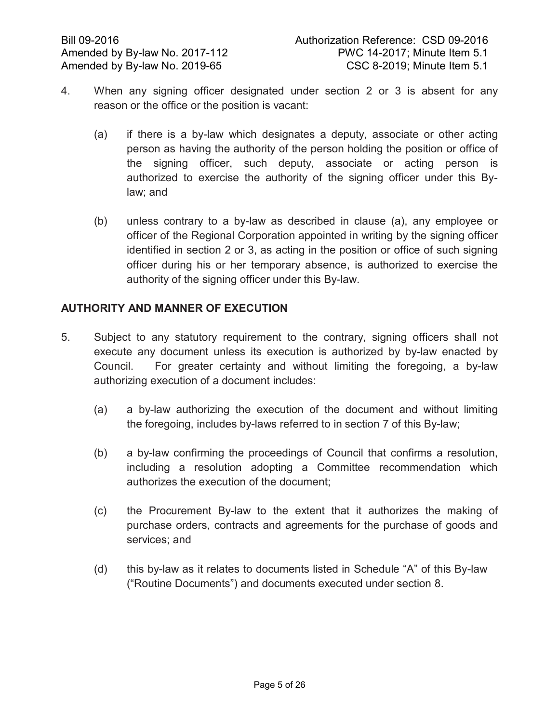- 4. When any signing officer designated under section 2 or 3 is absent for any reason or the office or the position is vacant:
	- (a) if there is a by-law which designates a deputy, associate or other acting person as having the authority of the person holding the position or office of the signing officer, such deputy, associate or acting person is authorized to exercise the authority of the signing officer under this Bylaw; and
	- (b) unless contrary to a by-law as described in clause (a), any employee or officer of the Regional Corporation appointed in writing by the signing officer identified in section 2 or 3, as acting in the position or office of such signing officer during his or her temporary absence, is authorized to exercise the authority of the signing officer under this By-law.

# **AUTHORITY AND MANNER OF EXECUTION**

- 5. Subject to any statutory requirement to the contrary, signing officers shall not execute any document unless its execution is authorized by by-law enacted by Council. For greater certainty and without limiting the foregoing, a by-law authorizing execution of a document includes:
	- (a) a by-law authorizing the execution of the document and without limiting the foregoing, includes by-laws referred to in section 7 of this By-law;
	- (b) a by-law confirming the proceedings of Council that confirms a resolution, including a resolution adopting a Committee recommendation which authorizes the execution of the document;
	- (c) the Procurement By-law to the extent that it authorizes the making of purchase orders, contracts and agreements for the purchase of goods and services; and
	- (d) this by-law as it relates to documents listed in Schedule "A" of this By-law ("Routine Documents") and documents executed under section 8.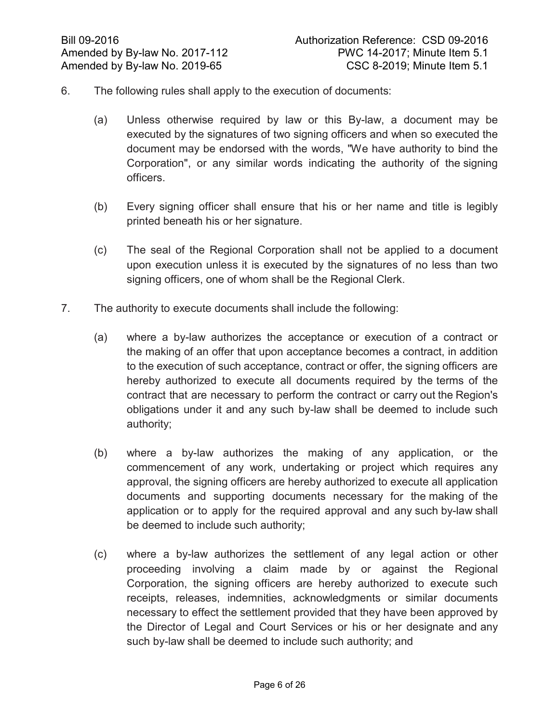- 6. The following rules shall apply to the execution of documents:
	- (a) Unless otherwise required by law or this By-law, a document may be executed by the signatures of two signing officers and when so executed the document may be endorsed with the words, "We have authority to bind the Corporation", or any similar words indicating the authority of the signing officers.
	- (b) Every signing officer shall ensure that his or her name and title is legibly printed beneath his or her signature.
	- (c) The seal of the Regional Corporation shall not be applied to a document upon execution unless it is executed by the signatures of no less than two signing officers, one of whom shall be the Regional Clerk.
- 7. The authority to execute documents shall include the following:
	- (a) where a by-law authorizes the acceptance or execution of a contract or the making of an offer that upon acceptance becomes a contract, in addition to the execution of such acceptance, contract or offer, the signing officers are hereby authorized to execute all documents required by the terms of the contract that are necessary to perform the contract or carry out the Region's obligations under it and any such by-law shall be deemed to include such authority;
	- (b) where a by-law authorizes the making of any application, or the commencement of any work, undertaking or project which requires any approval, the signing officers are hereby authorized to execute all application documents and supporting documents necessary for the making of the application or to apply for the required approval and any such by-law shall be deemed to include such authority;
	- (c) where a by-law authorizes the settlement of any legal action or other proceeding involving a claim made by or against the Regional Corporation, the signing officers are hereby authorized to execute such receipts, releases, indemnities, acknowledgments or similar documents necessary to effect the settlement provided that they have been approved by the Director of Legal and Court Services or his or her designate and any such by-law shall be deemed to include such authority; and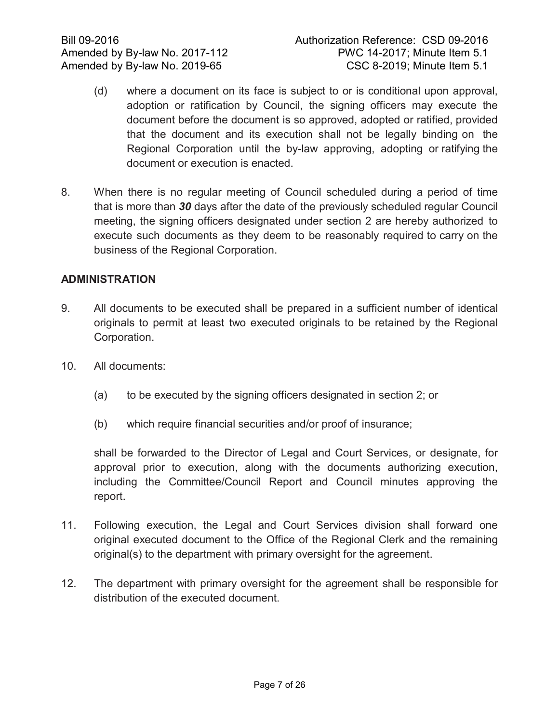- (d) where a document on its face is subject to or is conditional upon approval, adoption or ratification by Council, the signing officers may execute the document before the document is so approved, adopted or ratified, provided that the document and its execution shall not be legally binding on the Regional Corporation until the by-law approving, adopting or ratifying the document or execution is enacted.
- 8. When there is no regular meeting of Council scheduled during a period of time that is more than *30* days after the date of the previously scheduled regular Council meeting, the signing officers designated under section 2 are hereby authorized to execute such documents as they deem to be reasonably required to carry on the business of the Regional Corporation.

## **ADMINISTRATION**

- 9. All documents to be executed shall be prepared in a sufficient number of identical originals to permit at least two executed originals to be retained by the Regional Corporation.
- 10. All documents:
	- (a) to be executed by the signing officers designated in section 2; or
	- (b) which require financial securities and/or proof of insurance;

shall be forwarded to the Director of Legal and Court Services, or designate, for approval prior to execution, along with the documents authorizing execution, including the Committee/Council Report and Council minutes approving the report.

- 11. Following execution, the Legal and Court Services division shall forward one original executed document to the Office of the Regional Clerk and the remaining original(s) to the department with primary oversight for the agreement.
- 12. The department with primary oversight for the agreement shall be responsible for distribution of the executed document.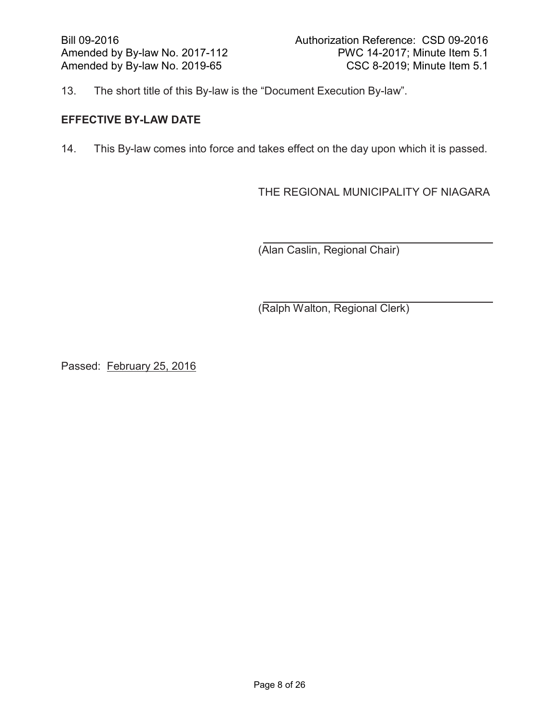13. The short title of this By-law is the "Document Execution By-law".

## **EFFECTIVE BY-LAW DATE**

14. This By-law comes into force and takes effect on the day upon which it is passed.

THE REGIONAL MUNICIPALITY OF NIAGARA

(Alan Caslin, Regional Chair)

(Ralph Walton, Regional Clerk)

Passed: February 25, 2016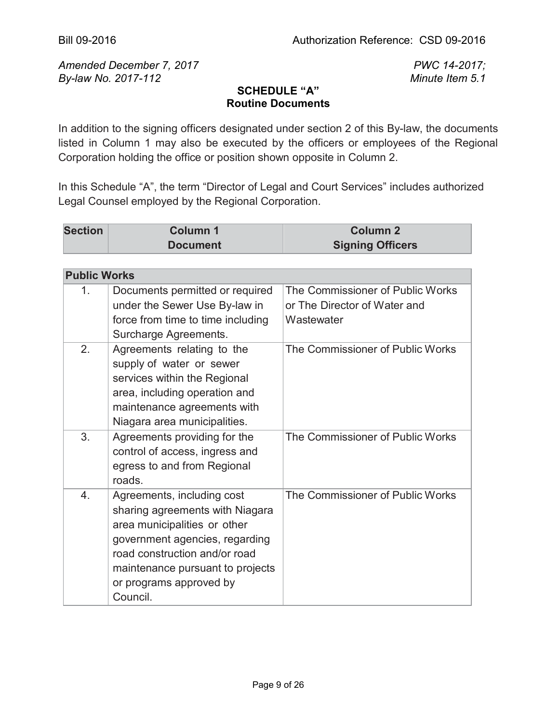*Amended December 7, 2017 PWC 14-2017; By-law No. 2017-112 Minute Item 5.1*

## **SCHEDULE "A" Routine Documents**

In addition to the signing officers designated under section 2 of this By-law, the documents listed in Column 1 may also be executed by the officers or employees of the Regional Corporation holding the office or position shown opposite in Column 2.

In this Schedule "A", the term "Director of Legal and Court Services" includes authorized Legal Counsel employed by the Regional Corporation.

| <b>Section</b> | Column 1        | <b>Column 2</b>         |
|----------------|-----------------|-------------------------|
|                | <b>Document</b> | <b>Signing Officers</b> |

| <b>Public Works</b> |                                                                                                                                                                                                                                             |                                                                                |
|---------------------|---------------------------------------------------------------------------------------------------------------------------------------------------------------------------------------------------------------------------------------------|--------------------------------------------------------------------------------|
| 1.                  | Documents permitted or required<br>under the Sewer Use By-law in<br>force from time to time including<br>Surcharge Agreements.                                                                                                              | The Commissioner of Public Works<br>or The Director of Water and<br>Wastewater |
| 2.                  | Agreements relating to the<br>supply of water or sewer<br>services within the Regional<br>area, including operation and<br>maintenance agreements with<br>Niagara area municipalities.                                                      | The Commissioner of Public Works                                               |
| 3.                  | Agreements providing for the<br>control of access, ingress and<br>egress to and from Regional<br>roads.                                                                                                                                     | The Commissioner of Public Works                                               |
| $\overline{4}$ .    | Agreements, including cost<br>sharing agreements with Niagara<br>area municipalities or other<br>government agencies, regarding<br>road construction and/or road<br>maintenance pursuant to projects<br>or programs approved by<br>Council. | The Commissioner of Public Works                                               |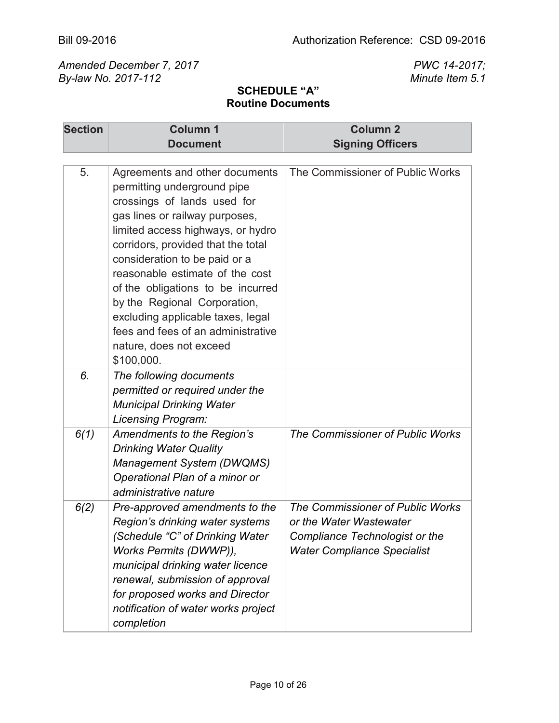| <b>Section</b> | <b>Column 1</b>                                                                                                                                                                                                                                                                                                                                                                                                                                                        | <b>Column 2</b>                                                                                                                            |
|----------------|------------------------------------------------------------------------------------------------------------------------------------------------------------------------------------------------------------------------------------------------------------------------------------------------------------------------------------------------------------------------------------------------------------------------------------------------------------------------|--------------------------------------------------------------------------------------------------------------------------------------------|
|                | <b>Document</b>                                                                                                                                                                                                                                                                                                                                                                                                                                                        | <b>Signing Officers</b>                                                                                                                    |
|                |                                                                                                                                                                                                                                                                                                                                                                                                                                                                        |                                                                                                                                            |
| 5.             | Agreements and other documents<br>permitting underground pipe<br>crossings of lands used for<br>gas lines or railway purposes,<br>limited access highways, or hydro<br>corridors, provided that the total<br>consideration to be paid or a<br>reasonable estimate of the cost<br>of the obligations to be incurred<br>by the Regional Corporation,<br>excluding applicable taxes, legal<br>fees and fees of an administrative<br>nature, does not exceed<br>\$100,000. | The Commissioner of Public Works                                                                                                           |
| 6.             | The following documents<br>permitted or required under the<br><b>Municipal Drinking Water</b><br>Licensing Program:                                                                                                                                                                                                                                                                                                                                                    |                                                                                                                                            |
| 6(1)           | Amendments to the Region's<br><b>Drinking Water Quality</b><br><b>Management System (DWQMS)</b><br>Operational Plan of a minor or<br>administrative nature                                                                                                                                                                                                                                                                                                             | The Commissioner of Public Works                                                                                                           |
| 6(2)           | Pre-approved amendments to the<br>Region's drinking water systems<br>(Schedule "C" of Drinking Water<br>Works Permits (DWWP)),<br>municipal drinking water licence<br>renewal, submission of approval<br>for proposed works and Director<br>notification of water works project<br>completion                                                                                                                                                                          | The Commissioner of Public Works<br>or the Water Wastewater<br><b>Compliance Technologist or the</b><br><b>Water Compliance Specialist</b> |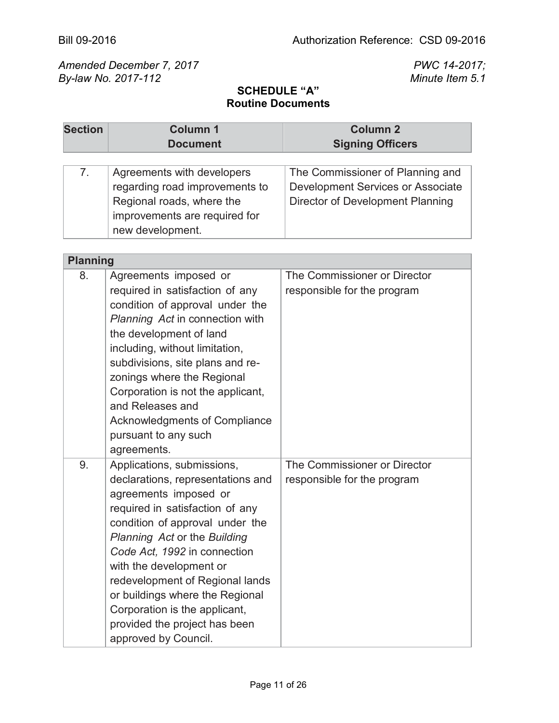| <b>Section</b>  | Column 1<br><b>Document</b>                                                                                                                                                                                                                                                                                                                                                                                               | Column <sub>2</sub><br><b>Signing Officers</b>                                                            |
|-----------------|---------------------------------------------------------------------------------------------------------------------------------------------------------------------------------------------------------------------------------------------------------------------------------------------------------------------------------------------------------------------------------------------------------------------------|-----------------------------------------------------------------------------------------------------------|
| 7.              | Agreements with developers<br>regarding road improvements to<br>Regional roads, where the<br>improvements are required for<br>new development.                                                                                                                                                                                                                                                                            | The Commissioner of Planning and<br>Development Services or Associate<br>Director of Development Planning |
| <b>Planning</b> |                                                                                                                                                                                                                                                                                                                                                                                                                           |                                                                                                           |
| 8.              | Agreements imposed or<br>required in satisfaction of any<br>condition of approval under the<br>Planning Act in connection with<br>the development of land<br>including, without limitation,<br>subdivisions, site plans and re-<br>zonings where the Regional<br>Corporation is not the applicant,<br>and Releases and<br>Acknowledgments of Compliance<br>pursuant to any such<br>agreements.                            | The Commissioner or Director<br>responsible for the program                                               |
| 9.              | Applications, submissions,<br>declarations, representations and<br>agreements imposed or<br>required in satisfaction of any<br>condition of approval under the<br>Planning Act or the Building<br>Code Act, 1992 in connection<br>with the development or<br>redevelopment of Regional lands<br>or buildings where the Regional<br>Corporation is the applicant,<br>provided the project has been<br>approved by Council. | The Commissioner or Director<br>responsible for the program                                               |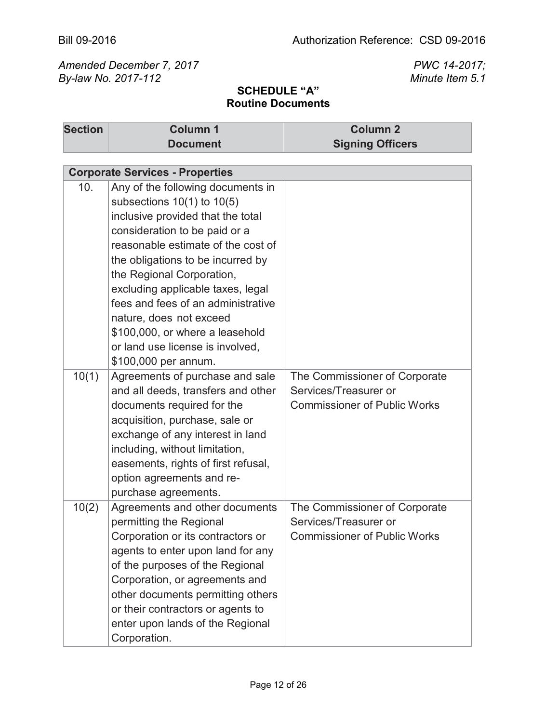| <b>Section</b> | <b>Column 1</b><br><b>Document</b>                                                                                                                                                                                                                                                                                                                                                                                                                     | <b>Column 2</b><br><b>Signing Officers</b>                                                    |
|----------------|--------------------------------------------------------------------------------------------------------------------------------------------------------------------------------------------------------------------------------------------------------------------------------------------------------------------------------------------------------------------------------------------------------------------------------------------------------|-----------------------------------------------------------------------------------------------|
|                |                                                                                                                                                                                                                                                                                                                                                                                                                                                        |                                                                                               |
|                | <b>Corporate Services - Properties</b>                                                                                                                                                                                                                                                                                                                                                                                                                 |                                                                                               |
| 10.            | Any of the following documents in<br>subsections $10(1)$ to $10(5)$<br>inclusive provided that the total<br>consideration to be paid or a<br>reasonable estimate of the cost of<br>the obligations to be incurred by<br>the Regional Corporation,<br>excluding applicable taxes, legal<br>fees and fees of an administrative<br>nature, does not exceed<br>\$100,000, or where a leasehold<br>or land use license is involved,<br>\$100,000 per annum. |                                                                                               |
| 10(1)          | Agreements of purchase and sale<br>and all deeds, transfers and other<br>documents required for the<br>acquisition, purchase, sale or<br>exchange of any interest in land<br>including, without limitation,<br>easements, rights of first refusal,<br>option agreements and re-<br>purchase agreements.                                                                                                                                                | The Commissioner of Corporate<br>Services/Treasurer or<br><b>Commissioner of Public Works</b> |
| 10(2)          | Agreements and other documents<br>permitting the Regional<br>Corporation or its contractors or<br>agents to enter upon land for any<br>of the purposes of the Regional<br>Corporation, or agreements and<br>other documents permitting others<br>or their contractors or agents to<br>enter upon lands of the Regional<br>Corporation.                                                                                                                 | The Commissioner of Corporate<br>Services/Treasurer or<br><b>Commissioner of Public Works</b> |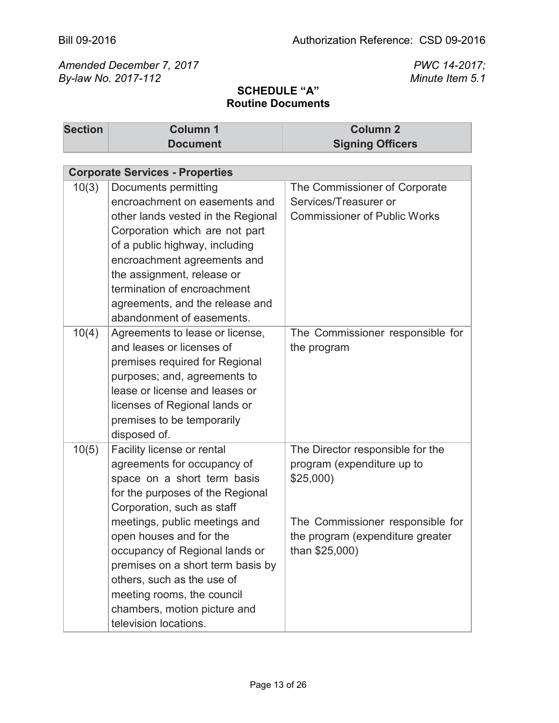| <b>Section</b> | <b>Column 1</b>                                           | <b>Column 2</b>                                    |
|----------------|-----------------------------------------------------------|----------------------------------------------------|
|                | <b>Document</b>                                           | <b>Signing Officers</b>                            |
|                |                                                           |                                                    |
|                | <b>Corporate Services - Properties</b>                    |                                                    |
| 10(3)          | <b>Documents permitting</b>                               | The Commissioner of Corporate                      |
|                | encroachment on easements and                             | Services/Treasurer or                              |
|                | other lands vested in the Regional                        | <b>Commissioner of Public Works</b>                |
|                | Corporation which are not part                            |                                                    |
|                | of a public highway, including                            |                                                    |
|                | encroachment agreements and                               |                                                    |
|                | the assignment, release or<br>termination of encroachment |                                                    |
|                | agreements, and the release and                           |                                                    |
|                | abandonment of easements.                                 |                                                    |
| 10(4)          | Agreements to lease or license,                           | The Commissioner responsible for                   |
|                | and leases or licenses of                                 | the program                                        |
|                | premises required for Regional                            |                                                    |
|                | purposes; and, agreements to                              |                                                    |
|                | lease or license and leases or                            |                                                    |
|                | licenses of Regional lands or                             |                                                    |
|                | premises to be temporarily                                |                                                    |
|                | disposed of.                                              |                                                    |
| 10(5)          | Facility license or rental                                | The Director responsible for the                   |
|                | agreements for occupancy of                               | program (expenditure up to                         |
|                | space on a short term basis                               | \$25,000                                           |
|                | for the purposes of the Regional                          |                                                    |
|                | Corporation, such as staff                                |                                                    |
|                | meetings, public meetings and                             | The Commissioner responsible for                   |
|                | open houses and for the<br>occupancy of Regional lands or | the program (expenditure greater<br>than \$25,000) |
|                | premises on a short term basis by                         |                                                    |
|                | others, such as the use of                                |                                                    |
|                | meeting rooms, the council                                |                                                    |
|                | chambers, motion picture and                              |                                                    |
|                | television locations.                                     |                                                    |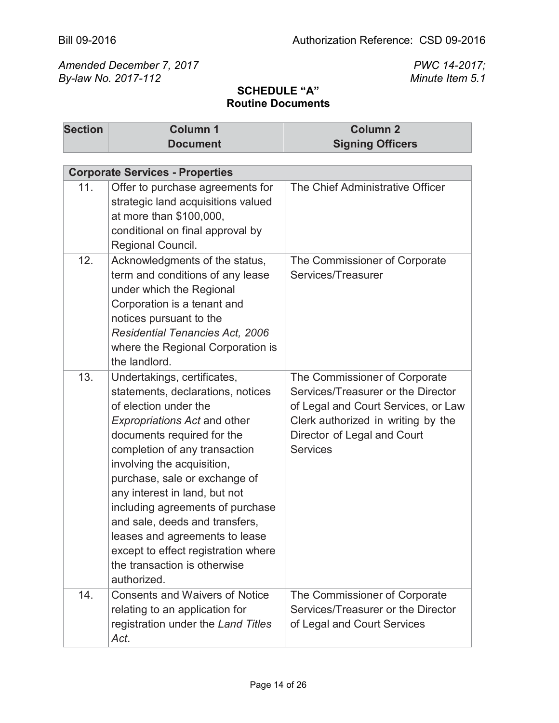| <b>Section</b> | <b>Column 1</b><br><b>Document</b>                                                                                                                                                                                                                                                                                                                                                                                                                                                            | <b>Column 2</b><br><b>Signing Officers</b>                                                                                                                                                         |
|----------------|-----------------------------------------------------------------------------------------------------------------------------------------------------------------------------------------------------------------------------------------------------------------------------------------------------------------------------------------------------------------------------------------------------------------------------------------------------------------------------------------------|----------------------------------------------------------------------------------------------------------------------------------------------------------------------------------------------------|
|                |                                                                                                                                                                                                                                                                                                                                                                                                                                                                                               |                                                                                                                                                                                                    |
|                | <b>Corporate Services - Properties</b>                                                                                                                                                                                                                                                                                                                                                                                                                                                        |                                                                                                                                                                                                    |
| 11.            | Offer to purchase agreements for<br>strategic land acquisitions valued<br>at more than \$100,000,<br>conditional on final approval by<br>Regional Council.                                                                                                                                                                                                                                                                                                                                    | The Chief Administrative Officer                                                                                                                                                                   |
| 12.            | Acknowledgments of the status,<br>term and conditions of any lease<br>under which the Regional<br>Corporation is a tenant and<br>notices pursuant to the<br><b>Residential Tenancies Act, 2006</b><br>where the Regional Corporation is<br>the landlord.                                                                                                                                                                                                                                      | The Commissioner of Corporate<br>Services/Treasurer                                                                                                                                                |
| 13.            | Undertakings, certificates,<br>statements, declarations, notices<br>of election under the<br><b>Expropriations Act and other</b><br>documents required for the<br>completion of any transaction<br>involving the acquisition,<br>purchase, sale or exchange of<br>any interest in land, but not<br>including agreements of purchase<br>and sale, deeds and transfers,<br>leases and agreements to lease<br>except to effect registration where<br>the transaction is otherwise<br>authorized. | The Commissioner of Corporate<br>Services/Treasurer or the Director<br>of Legal and Court Services, or Law<br>Clerk authorized in writing by the<br>Director of Legal and Court<br><b>Services</b> |
| 14.            | <b>Consents and Waivers of Notice</b><br>relating to an application for<br>registration under the Land Titles<br>Act.                                                                                                                                                                                                                                                                                                                                                                         | The Commissioner of Corporate<br>Services/Treasurer or the Director<br>of Legal and Court Services                                                                                                 |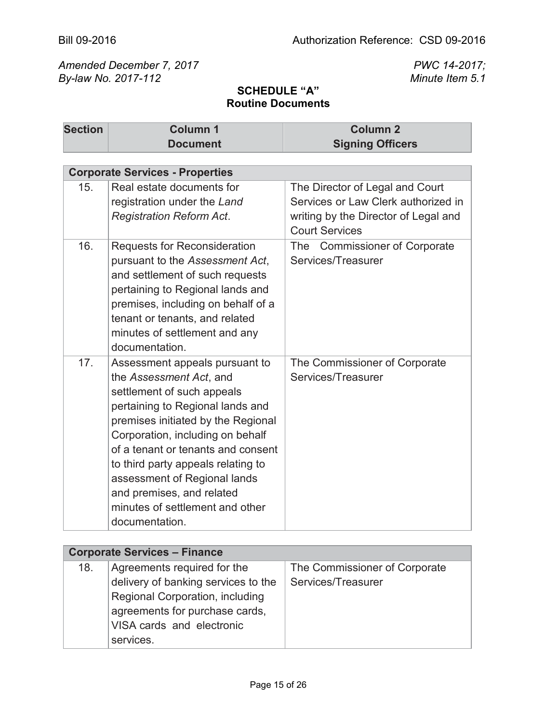| <b>Section</b> | <b>Column 1</b>                                                                                                                                                                                                                                                                                                                                                                                     | <b>Column 2</b>                                                                                                |
|----------------|-----------------------------------------------------------------------------------------------------------------------------------------------------------------------------------------------------------------------------------------------------------------------------------------------------------------------------------------------------------------------------------------------------|----------------------------------------------------------------------------------------------------------------|
|                | <b>Document</b>                                                                                                                                                                                                                                                                                                                                                                                     | <b>Signing Officers</b>                                                                                        |
|                |                                                                                                                                                                                                                                                                                                                                                                                                     |                                                                                                                |
|                | <b>Corporate Services - Properties</b>                                                                                                                                                                                                                                                                                                                                                              |                                                                                                                |
| 15.            | Real estate documents for<br>registration under the Land<br><b>Registration Reform Act.</b>                                                                                                                                                                                                                                                                                                         | The Director of Legal and Court<br>Services or Law Clerk authorized in<br>writing by the Director of Legal and |
|                |                                                                                                                                                                                                                                                                                                                                                                                                     | <b>Court Services</b>                                                                                          |
| 16.            | <b>Requests for Reconsideration</b><br>pursuant to the Assessment Act,<br>and settlement of such requests<br>pertaining to Regional lands and<br>premises, including on behalf of a<br>tenant or tenants, and related<br>minutes of settlement and any<br>documentation.                                                                                                                            | The Commissioner of Corporate<br>Services/Treasurer                                                            |
| 17.            | Assessment appeals pursuant to<br>the Assessment Act, and<br>settlement of such appeals<br>pertaining to Regional lands and<br>premises initiated by the Regional<br>Corporation, including on behalf<br>of a tenant or tenants and consent<br>to third party appeals relating to<br>assessment of Regional lands<br>and premises, and related<br>minutes of settlement and other<br>documentation. | The Commissioner of Corporate<br>Services/Treasurer                                                            |

| <b>Corporate Services - Finance</b> |                                     |                               |
|-------------------------------------|-------------------------------------|-------------------------------|
| 18.                                 | Agreements required for the         | The Commissioner of Corporate |
|                                     | delivery of banking services to the | Services/Treasurer            |
|                                     | Regional Corporation, including     |                               |
|                                     | agreements for purchase cards,      |                               |
|                                     | VISA cards and electronic           |                               |
|                                     | services.                           |                               |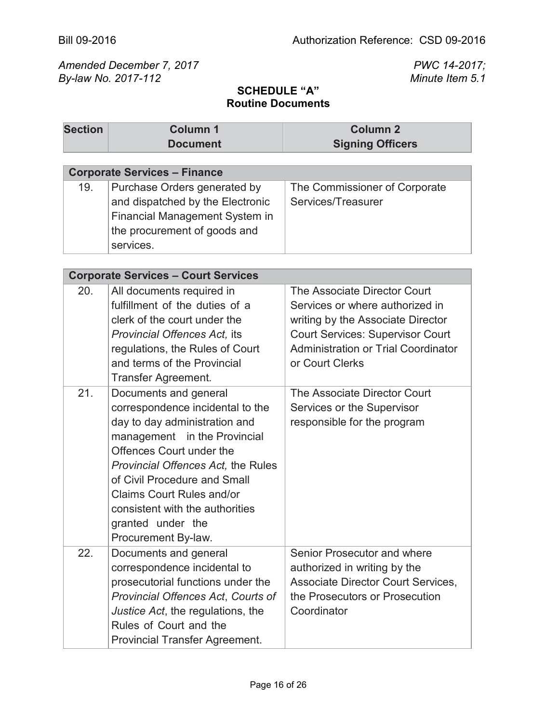| <b>Section</b> | <b>Column 1</b><br><b>Document</b>                          | <b>Column 2</b><br><b>Signing Officers</b> |
|----------------|-------------------------------------------------------------|--------------------------------------------|
|                |                                                             |                                            |
|                | <b>Corporate Services - Finance</b>                         |                                            |
| 19.            | Purchase Orders generated by                                | The Commissioner of Corporate              |
|                | and dispatched by the Electronic                            | Services/Treasurer                         |
|                | Financial Management System in                              |                                            |
|                | the procurement of goods and                                |                                            |
|                | services.                                                   |                                            |
|                | <b>Corporate Services - Court Services</b>                  |                                            |
| 20.            |                                                             | The Associate Director Court               |
|                | All documents required in<br>fulfillment of the duties of a | Services or where authorized in            |
|                | clerk of the court under the                                | writing by the Associate Director          |
|                | Provincial Offences Act, its                                | <b>Court Services: Supervisor Court</b>    |
|                | regulations, the Rules of Court                             | <b>Administration or Trial Coordinator</b> |
|                | and terms of the Provincial                                 | or Court Clerks                            |
|                | Transfer Agreement.                                         |                                            |
| 21.            | Documents and general                                       | The Associate Director Court               |
|                | correspondence incidental to the                            | Services or the Supervisor                 |
|                | day to day administration and                               | responsible for the program                |
|                | management in the Provincial                                |                                            |
|                | Offences Court under the                                    |                                            |
|                | Provincial Offences Act, the Rules                          |                                            |
|                | of Civil Procedure and Small                                |                                            |
|                | <b>Claims Court Rules and/or</b>                            |                                            |
|                | consistent with the authorities                             |                                            |
|                | granted under the                                           |                                            |
|                | Procurement By-law.                                         |                                            |
| 22.            | Documents and general                                       | Senior Prosecutor and where                |
|                | correspondence incidental to                                | authorized in writing by the               |
|                | prosecutorial functions under the                           | <b>Associate Director Court Services,</b>  |
|                | <b>Provincial Offences Act, Courts of</b>                   | the Prosecutors or Prosecution             |
|                | Justice Act, the regulations, the                           | Coordinator                                |
|                | Rules of Court and the                                      |                                            |
|                | <b>Provincial Transfer Agreement.</b>                       |                                            |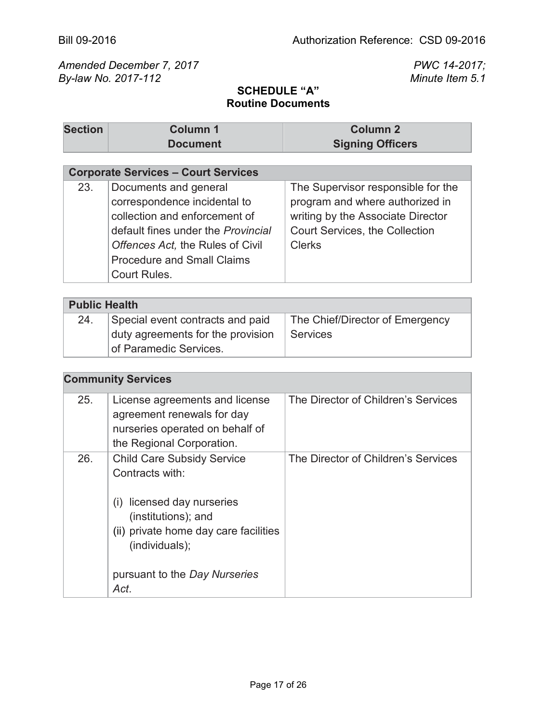#### **SCHEDULE "A" Routine Documents**

| <b>Section</b> | <b>Column 1</b> | <b>Column 2</b>         |
|----------------|-----------------|-------------------------|
|                | <b>Document</b> | <b>Signing Officers</b> |

# **Corporate Services – Court Services**

| 23. | Documents and general              | The Supervisor responsible for the |
|-----|------------------------------------|------------------------------------|
|     | correspondence incidental to       | program and where authorized in    |
|     | collection and enforcement of      | writing by the Associate Director  |
|     | default fines under the Provincial | Court Services, the Collection     |
|     | Offences Act, the Rules of Civil   | <b>Clerks</b>                      |
|     | <b>Procedure and Small Claims</b>  |                                    |
|     | Court Rules.                       |                                    |

| <b>Public Health</b> |                                   |                                 |
|----------------------|-----------------------------------|---------------------------------|
| 24.                  | Special event contracts and paid  | The Chief/Director of Emergency |
|                      | duty agreements for the provision | Services                        |
|                      | <b>of Paramedic Services.</b>     |                                 |

| 25. | License agreements and license<br>agreement renewals for day<br>nurseries operated on behalf of<br>the Regional Corporation.                                                                                     | The Director of Children's Services |
|-----|------------------------------------------------------------------------------------------------------------------------------------------------------------------------------------------------------------------|-------------------------------------|
| 26. | <b>Child Care Subsidy Service</b><br>Contracts with:<br>licensed day nurseries<br>(1)<br>(institutions); and<br>(ii) private home day care facilities<br>(individuals);<br>pursuant to the Day Nurseries<br>Act. | The Director of Children's Services |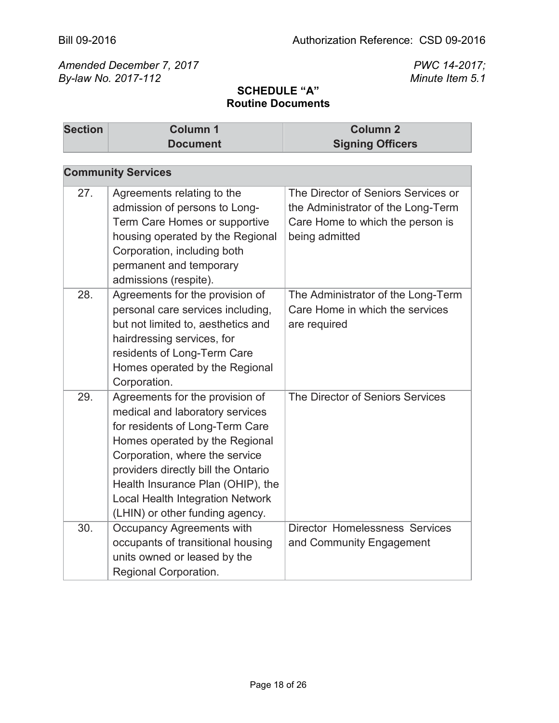| <b>Section</b> | <b>Column 1</b>                                                                                                                                                                                                                                                                                                                     | <b>Column 2</b>                                                                                                                 |
|----------------|-------------------------------------------------------------------------------------------------------------------------------------------------------------------------------------------------------------------------------------------------------------------------------------------------------------------------------------|---------------------------------------------------------------------------------------------------------------------------------|
|                | <b>Document</b>                                                                                                                                                                                                                                                                                                                     | <b>Signing Officers</b>                                                                                                         |
|                |                                                                                                                                                                                                                                                                                                                                     |                                                                                                                                 |
|                | <b>Community Services</b>                                                                                                                                                                                                                                                                                                           |                                                                                                                                 |
| 27.            | Agreements relating to the<br>admission of persons to Long-<br>Term Care Homes or supportive<br>housing operated by the Regional<br>Corporation, including both<br>permanent and temporary<br>admissions (respite).                                                                                                                 | The Director of Seniors Services or<br>the Administrator of the Long-Term<br>Care Home to which the person is<br>being admitted |
| 28.            | Agreements for the provision of<br>personal care services including,<br>but not limited to, aesthetics and<br>hairdressing services, for<br>residents of Long-Term Care<br>Homes operated by the Regional<br>Corporation.                                                                                                           | The Administrator of the Long-Term<br>Care Home in which the services<br>are required                                           |
| 29.            | Agreements for the provision of<br>medical and laboratory services<br>for residents of Long-Term Care<br>Homes operated by the Regional<br>Corporation, where the service<br>providers directly bill the Ontario<br>Health Insurance Plan (OHIP), the<br><b>Local Health Integration Network</b><br>(LHIN) or other funding agency. | The Director of Seniors Services                                                                                                |
| 30.            | Occupancy Agreements with<br>occupants of transitional housing<br>units owned or leased by the<br>Regional Corporation.                                                                                                                                                                                                             | <b>Director Homelessness Services</b><br>and Community Engagement                                                               |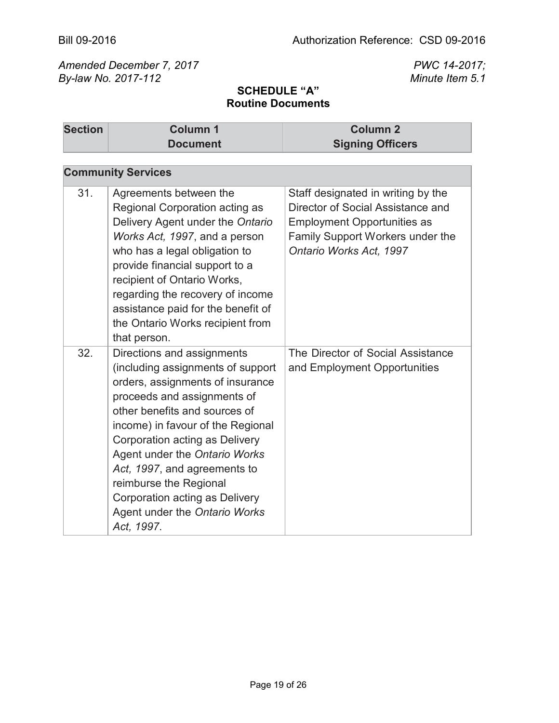| <b>Section</b> | Column <sub>1</sub>                                                                                                                                                                                                                                                                                                                                                                                                    | Column <sub>2</sub>                                                                                                                                                          |
|----------------|------------------------------------------------------------------------------------------------------------------------------------------------------------------------------------------------------------------------------------------------------------------------------------------------------------------------------------------------------------------------------------------------------------------------|------------------------------------------------------------------------------------------------------------------------------------------------------------------------------|
|                | <b>Document</b>                                                                                                                                                                                                                                                                                                                                                                                                        | <b>Signing Officers</b>                                                                                                                                                      |
|                | <b>Community Services</b>                                                                                                                                                                                                                                                                                                                                                                                              |                                                                                                                                                                              |
| 31.            | Agreements between the<br>Regional Corporation acting as<br>Delivery Agent under the Ontario<br>Works Act, 1997, and a person<br>who has a legal obligation to<br>provide financial support to a<br>recipient of Ontario Works,<br>regarding the recovery of income<br>assistance paid for the benefit of<br>the Ontario Works recipient from<br>that person.                                                          | Staff designated in writing by the<br>Director of Social Assistance and<br><b>Employment Opportunities as</b><br>Family Support Workers under the<br>Ontario Works Act, 1997 |
| 32.            | Directions and assignments<br>(including assignments of support<br>orders, assignments of insurance<br>proceeds and assignments of<br>other benefits and sources of<br>income) in favour of the Regional<br>Corporation acting as Delivery<br>Agent under the Ontario Works<br>Act, 1997, and agreements to<br>reimburse the Regional<br>Corporation acting as Delivery<br>Agent under the Ontario Works<br>Act, 1997. | The Director of Social Assistance<br>and Employment Opportunities                                                                                                            |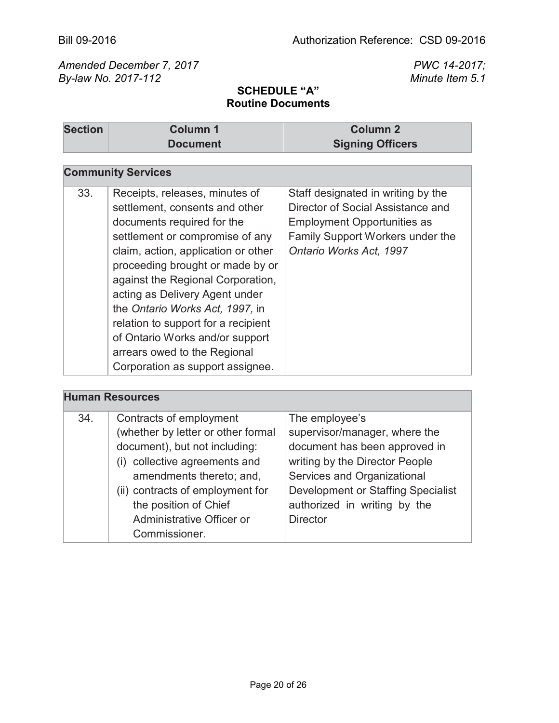| <b>Section</b> | <b>Column 1</b><br><b>Document</b>                                                                                                                                                                                                                                                                                                                                                                                                                                   | <b>Column 2</b><br><b>Signing Officers</b>                                                                                                                                   |
|----------------|----------------------------------------------------------------------------------------------------------------------------------------------------------------------------------------------------------------------------------------------------------------------------------------------------------------------------------------------------------------------------------------------------------------------------------------------------------------------|------------------------------------------------------------------------------------------------------------------------------------------------------------------------------|
|                |                                                                                                                                                                                                                                                                                                                                                                                                                                                                      |                                                                                                                                                                              |
|                | <b>Community Services</b>                                                                                                                                                                                                                                                                                                                                                                                                                                            |                                                                                                                                                                              |
| 33.            | Receipts, releases, minutes of<br>settlement, consents and other<br>documents required for the<br>settlement or compromise of any<br>claim, action, application or other<br>proceeding brought or made by or<br>against the Regional Corporation,<br>acting as Delivery Agent under<br>the Ontario Works Act, 1997, in<br>relation to support for a recipient<br>of Ontario Works and/or support<br>arrears owed to the Regional<br>Corporation as support assignee. | Staff designated in writing by the<br>Director of Social Assistance and<br><b>Employment Opportunities as</b><br>Family Support Workers under the<br>Ontario Works Act, 1997 |

| <b>Human Resources</b> |                                    |                                           |
|------------------------|------------------------------------|-------------------------------------------|
| 34.                    | Contracts of employment            | The employee's                            |
|                        | (whether by letter or other formal | supervisor/manager, where the             |
|                        | document), but not including:      | document has been approved in             |
|                        | (i) collective agreements and      | writing by the Director People            |
|                        | amendments thereto; and,           | Services and Organizational               |
|                        | (ii) contracts of employment for   | <b>Development or Staffing Specialist</b> |
|                        | the position of Chief              | authorized in writing by the              |
|                        | Administrative Officer or          | <b>Director</b>                           |
|                        | Commissioner.                      |                                           |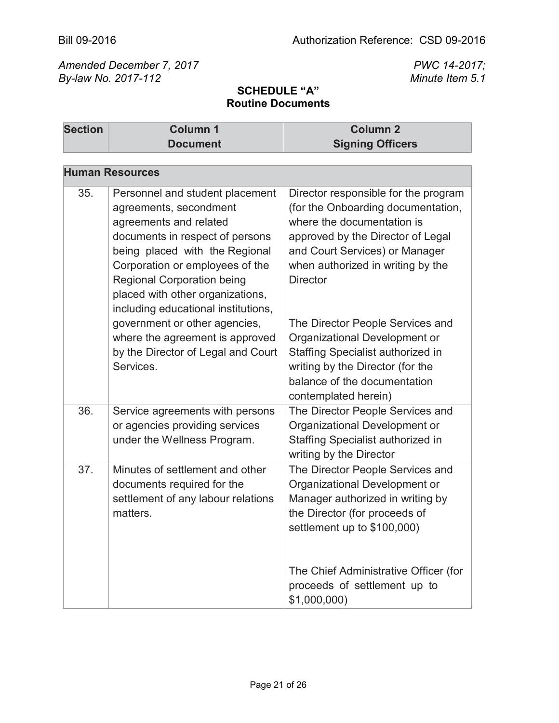| <b>Section</b> | <b>Column 1</b><br><b>Document</b>                                                                                                                                                                                                                                                                          | <b>Column 2</b><br><b>Signing Officers</b>                                                                                                                                                                                              |
|----------------|-------------------------------------------------------------------------------------------------------------------------------------------------------------------------------------------------------------------------------------------------------------------------------------------------------------|-----------------------------------------------------------------------------------------------------------------------------------------------------------------------------------------------------------------------------------------|
|                |                                                                                                                                                                                                                                                                                                             |                                                                                                                                                                                                                                         |
|                | <b>Human Resources</b>                                                                                                                                                                                                                                                                                      |                                                                                                                                                                                                                                         |
| 35.            | Personnel and student placement<br>agreements, secondment<br>agreements and related<br>documents in respect of persons<br>being placed with the Regional<br>Corporation or employees of the<br><b>Regional Corporation being</b><br>placed with other organizations,<br>including educational institutions, | Director responsible for the program<br>(for the Onboarding documentation,<br>where the documentation is<br>approved by the Director of Legal<br>and Court Services) or Manager<br>when authorized in writing by the<br><b>Director</b> |
|                | government or other agencies,<br>where the agreement is approved<br>by the Director of Legal and Court<br>Services.                                                                                                                                                                                         | The Director People Services and<br>Organizational Development or<br>Staffing Specialist authorized in<br>writing by the Director (for the<br>balance of the documentation<br>contemplated herein)                                      |
| 36.            | Service agreements with persons<br>or agencies providing services<br>under the Wellness Program.                                                                                                                                                                                                            | The Director People Services and<br>Organizational Development or<br>Staffing Specialist authorized in<br>writing by the Director                                                                                                       |
| 37.            | Minutes of settlement and other<br>documents required for the<br>settlement of any labour relations<br>matters.                                                                                                                                                                                             | The Director People Services and<br>Organizational Development or<br>Manager authorized in writing by<br>the Director (for proceeds of<br>settlement up to \$100,000)                                                                   |
|                |                                                                                                                                                                                                                                                                                                             | The Chief Administrative Officer (for<br>proceeds of settlement up to<br>\$1,000,000)                                                                                                                                                   |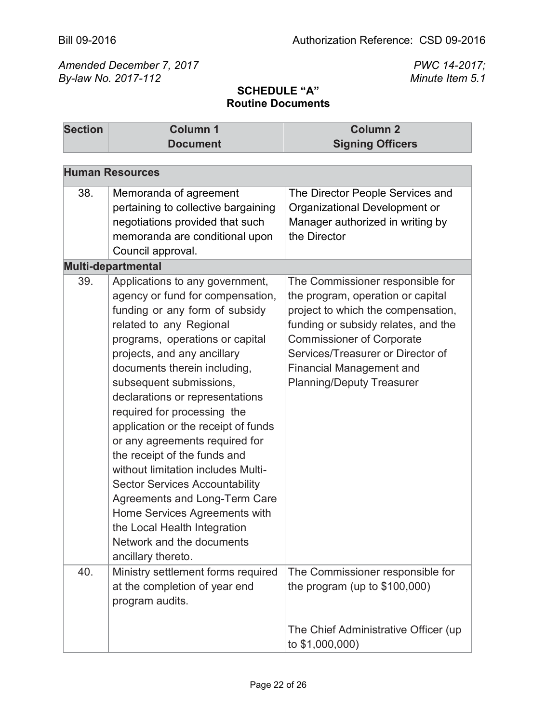| <b>Section</b> | <b>Column 1</b><br><b>Document</b>                                                                                                                                                                                                                                                                                                                                                                                                                                                                                                                                                                                                                                           | <b>Column 2</b><br><b>Signing Officers</b>                                                                                                                                                                                                                                                         |  |
|----------------|------------------------------------------------------------------------------------------------------------------------------------------------------------------------------------------------------------------------------------------------------------------------------------------------------------------------------------------------------------------------------------------------------------------------------------------------------------------------------------------------------------------------------------------------------------------------------------------------------------------------------------------------------------------------------|----------------------------------------------------------------------------------------------------------------------------------------------------------------------------------------------------------------------------------------------------------------------------------------------------|--|
|                | <b>Human Resources</b>                                                                                                                                                                                                                                                                                                                                                                                                                                                                                                                                                                                                                                                       |                                                                                                                                                                                                                                                                                                    |  |
| 38.            | Memoranda of agreement<br>pertaining to collective bargaining<br>negotiations provided that such<br>memoranda are conditional upon<br>Council approval.<br><b>Multi-departmental</b>                                                                                                                                                                                                                                                                                                                                                                                                                                                                                         | The Director People Services and<br>Organizational Development or<br>Manager authorized in writing by<br>the Director                                                                                                                                                                              |  |
| 39.            | Applications to any government,<br>agency or fund for compensation,<br>funding or any form of subsidy<br>related to any Regional<br>programs, operations or capital<br>projects, and any ancillary<br>documents therein including,<br>subsequent submissions,<br>declarations or representations<br>required for processing the<br>application or the receipt of funds<br>or any agreements required for<br>the receipt of the funds and<br>without limitation includes Multi-<br><b>Sector Services Accountability</b><br>Agreements and Long-Term Care<br>Home Services Agreements with<br>the Local Health Integration<br>Network and the documents<br>ancillary thereto. | The Commissioner responsible for<br>the program, operation or capital<br>project to which the compensation,<br>funding or subsidy relates, and the<br><b>Commissioner of Corporate</b><br>Services/Treasurer or Director of<br><b>Financial Management and</b><br><b>Planning/Deputy Treasurer</b> |  |
| 40.            | Ministry settlement forms required<br>at the completion of year end<br>program audits.                                                                                                                                                                                                                                                                                                                                                                                                                                                                                                                                                                                       | The Commissioner responsible for<br>the program (up to $$100,000$ )<br>The Chief Administrative Officer (up                                                                                                                                                                                        |  |
|                |                                                                                                                                                                                                                                                                                                                                                                                                                                                                                                                                                                                                                                                                              | to \$1,000,000)                                                                                                                                                                                                                                                                                    |  |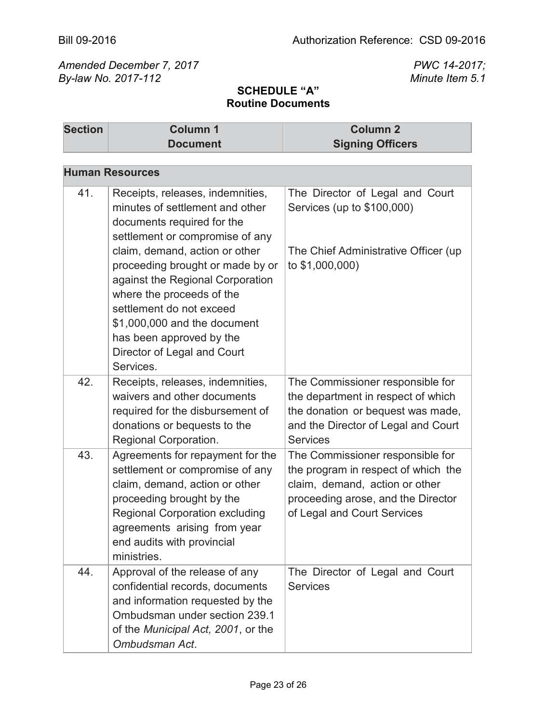| <b>Section</b> | <b>Column 1</b><br><b>Document</b>                                                                                                                                                                                                                                      | <b>Column 2</b><br><b>Signing Officers</b>                                                                                                                                     |
|----------------|-------------------------------------------------------------------------------------------------------------------------------------------------------------------------------------------------------------------------------------------------------------------------|--------------------------------------------------------------------------------------------------------------------------------------------------------------------------------|
|                |                                                                                                                                                                                                                                                                         |                                                                                                                                                                                |
|                | <b>Human Resources</b>                                                                                                                                                                                                                                                  |                                                                                                                                                                                |
| 41.            | Receipts, releases, indemnities,<br>minutes of settlement and other<br>documents required for the<br>settlement or compromise of any                                                                                                                                    | The Director of Legal and Court<br>Services (up to \$100,000)                                                                                                                  |
|                | claim, demand, action or other<br>proceeding brought or made by or<br>against the Regional Corporation<br>where the proceeds of the<br>settlement do not exceed<br>\$1,000,000 and the document<br>has been approved by the<br>Director of Legal and Court<br>Services. | The Chief Administrative Officer (up<br>to \$1,000,000)                                                                                                                        |
| 42.            | Receipts, releases, indemnities,<br>waivers and other documents<br>required for the disbursement of<br>donations or bequests to the<br>Regional Corporation.                                                                                                            | The Commissioner responsible for<br>the department in respect of which<br>the donation or bequest was made,<br>and the Director of Legal and Court<br><b>Services</b>          |
| 43.            | Agreements for repayment for the<br>settlement or compromise of any<br>claim, demand, action or other<br>proceeding brought by the<br><b>Regional Corporation excluding</b><br>agreements arising from year<br>end audits with provincial<br>ministries.                | The Commissioner responsible for<br>the program in respect of which the<br>claim, demand, action or other<br>proceeding arose, and the Director<br>of Legal and Court Services |
| 44.            | Approval of the release of any<br>confidential records, documents<br>and information requested by the<br>Ombudsman under section 239.1<br>of the Municipal Act, 2001, or the<br>Ombudsman Act.                                                                          | The Director of Legal and Court<br><b>Services</b>                                                                                                                             |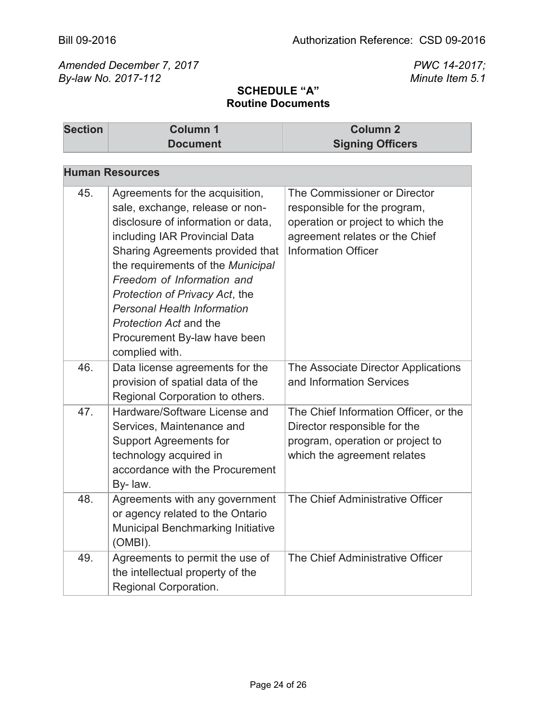| <b>Section</b> | <b>Column 1</b>                                                                                                                                                                                                                                                                                                                                                                                             | <b>Column 2</b>                                                                                                                                                   |
|----------------|-------------------------------------------------------------------------------------------------------------------------------------------------------------------------------------------------------------------------------------------------------------------------------------------------------------------------------------------------------------------------------------------------------------|-------------------------------------------------------------------------------------------------------------------------------------------------------------------|
|                | <b>Document</b>                                                                                                                                                                                                                                                                                                                                                                                             | <b>Signing Officers</b>                                                                                                                                           |
|                |                                                                                                                                                                                                                                                                                                                                                                                                             |                                                                                                                                                                   |
|                | <b>Human Resources</b>                                                                                                                                                                                                                                                                                                                                                                                      |                                                                                                                                                                   |
| 45.            | Agreements for the acquisition,<br>sale, exchange, release or non-<br>disclosure of information or data,<br>including IAR Provincial Data<br>Sharing Agreements provided that<br>the requirements of the Municipal<br>Freedom of Information and<br>Protection of Privacy Act, the<br><b>Personal Health Information</b><br><b>Protection Act and the</b><br>Procurement By-law have been<br>complied with. | The Commissioner or Director<br>responsible for the program,<br>operation or project to which the<br>agreement relates or the Chief<br><b>Information Officer</b> |
| 46.            | Data license agreements for the<br>provision of spatial data of the<br>Regional Corporation to others.                                                                                                                                                                                                                                                                                                      | The Associate Director Applications<br>and Information Services                                                                                                   |
| 47.            | Hardware/Software License and<br>Services, Maintenance and<br><b>Support Agreements for</b><br>technology acquired in<br>accordance with the Procurement<br>By-law.                                                                                                                                                                                                                                         | The Chief Information Officer, or the<br>Director responsible for the<br>program, operation or project to<br>which the agreement relates                          |
| 48.            | Agreements with any government<br>or agency related to the Ontario<br><b>Municipal Benchmarking Initiative</b><br>(OMBI).                                                                                                                                                                                                                                                                                   | The Chief Administrative Officer                                                                                                                                  |
| 49.            | Agreements to permit the use of<br>the intellectual property of the<br>Regional Corporation.                                                                                                                                                                                                                                                                                                                | The Chief Administrative Officer                                                                                                                                  |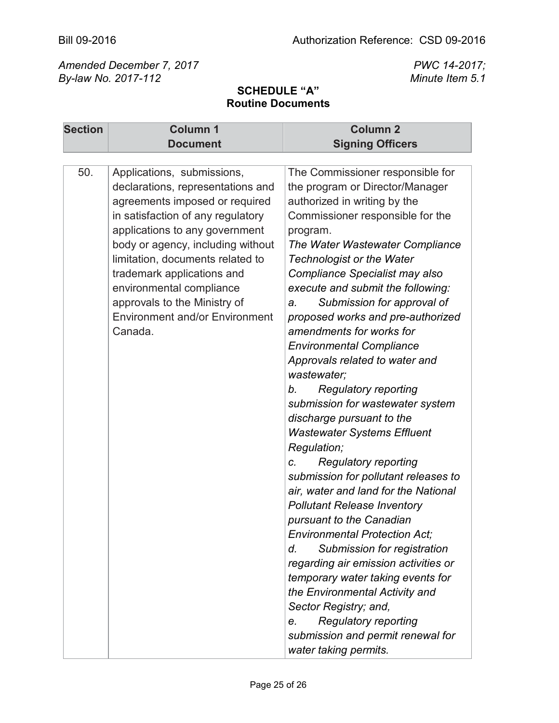| <b>Section</b> | <b>Column 1</b>                                                                                                                                                                                                                                                                                                                                                                                 | <b>Column 2</b>                                                                                                                                                                                                                                                                                                                                                                                                                                                                                                                                                                                                                                                                                                                                                                                                                                                                                                                                                                                                                                                                                                                             |
|----------------|-------------------------------------------------------------------------------------------------------------------------------------------------------------------------------------------------------------------------------------------------------------------------------------------------------------------------------------------------------------------------------------------------|---------------------------------------------------------------------------------------------------------------------------------------------------------------------------------------------------------------------------------------------------------------------------------------------------------------------------------------------------------------------------------------------------------------------------------------------------------------------------------------------------------------------------------------------------------------------------------------------------------------------------------------------------------------------------------------------------------------------------------------------------------------------------------------------------------------------------------------------------------------------------------------------------------------------------------------------------------------------------------------------------------------------------------------------------------------------------------------------------------------------------------------------|
|                | <b>Document</b>                                                                                                                                                                                                                                                                                                                                                                                 | <b>Signing Officers</b>                                                                                                                                                                                                                                                                                                                                                                                                                                                                                                                                                                                                                                                                                                                                                                                                                                                                                                                                                                                                                                                                                                                     |
|                |                                                                                                                                                                                                                                                                                                                                                                                                 |                                                                                                                                                                                                                                                                                                                                                                                                                                                                                                                                                                                                                                                                                                                                                                                                                                                                                                                                                                                                                                                                                                                                             |
| 50.            | Applications, submissions,<br>declarations, representations and<br>agreements imposed or required<br>in satisfaction of any regulatory<br>applications to any government<br>body or agency, including without<br>limitation, documents related to<br>trademark applications and<br>environmental compliance<br>approvals to the Ministry of<br><b>Environment and/or Environment</b><br>Canada. | The Commissioner responsible for<br>the program or Director/Manager<br>authorized in writing by the<br>Commissioner responsible for the<br>program.<br>The Water Wastewater Compliance<br><b>Technologist or the Water</b><br>Compliance Specialist may also<br>execute and submit the following:<br>Submission for approval of<br>a.<br>proposed works and pre-authorized<br>amendments for works for<br><b>Environmental Compliance</b><br>Approvals related to water and<br>wastewater:<br><b>Regulatory reporting</b><br>b.<br>submission for wastewater system<br>discharge pursuant to the<br><b>Wastewater Systems Effluent</b><br>Regulation;<br><b>Regulatory reporting</b><br>C.<br>submission for pollutant releases to<br>air, water and land for the National<br><b>Pollutant Release Inventory</b><br>pursuant to the Canadian<br><b>Environmental Protection Act:</b><br>Submission for registration<br>d.<br>regarding air emission activities or<br>temporary water taking events for<br>the Environmental Activity and<br>Sector Registry; and,<br><b>Regulatory reporting</b><br>e.<br>submission and permit renewal for |
|                |                                                                                                                                                                                                                                                                                                                                                                                                 | water taking permits.                                                                                                                                                                                                                                                                                                                                                                                                                                                                                                                                                                                                                                                                                                                                                                                                                                                                                                                                                                                                                                                                                                                       |